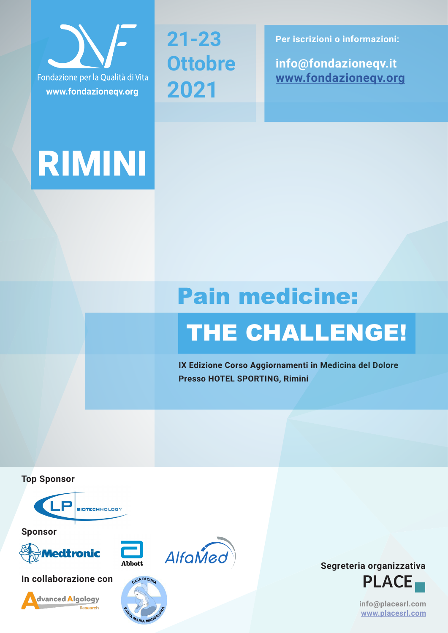

# RIMINI

**21-23 Ottobre 2021**

**Per iscrizioni o informazioni:**

**info@fondazioneqv.it www.fondazioneqv.org**

# Pain medicine:

# THE CHALLENGE!

**IX Edizione Corso Aggiornamenti in Medicina del Dolore Presso HOTEL SPORTING, Rimini**

**Top Sponsor**



**Sponsor**











**info@placesrl.com www.placesrl.com**